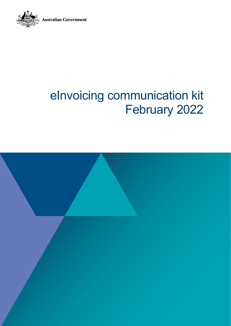

# eInvoicing communication kit February 2022

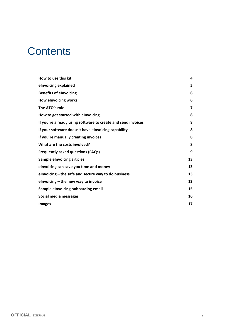# **Contents**

| How to use this kit                                          | 4              |
|--------------------------------------------------------------|----------------|
| elnvoicing explained                                         | 5              |
| <b>Benefits of elnvoicing</b>                                | 6              |
| How elnvoicing works                                         | 6              |
| The ATO's role                                               | $\overline{ }$ |
| How to get started with elnvoicing                           | 8              |
| If you're already using software to create and send invoices | 8              |
| If your software doesn't have elnvoicing capability          | 8              |
| If you're manually creating invoices                         | 8              |
| What are the costs involved?                                 | 8              |
| <b>Frequently asked questions (FAQs)</b>                     | 9              |
| <b>Sample elnvoicing articles</b>                            | 13             |
| elnvoicing can save you time and money                       | 13             |
| elnvoicing $-$ the safe and secure way to do business        | 13             |
| elnvoicing - the new way to invoice                          | 13             |
| Sample elnvoicing onboarding email                           | 15             |
| Social media messages                                        | 16             |
| <b>Images</b>                                                | 17             |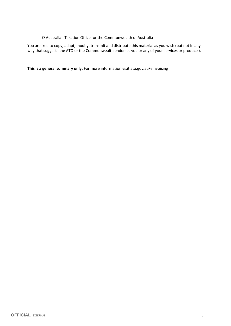#### © Australian Taxation Office for the Commonwealth of Australia

You are free to copy, adapt, modify, transmit and distribute this material as you wish (but not in any way that suggests the ATO or the Commonwealth endorses you or any of your services or products).

**This is a general summary only.** For more information visit ato.gov.au/eInvoicing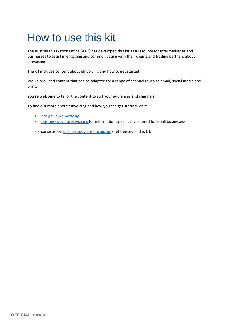# <span id="page-3-0"></span>How to use this kit

The Australian Taxation Office (ATO) has developed this kit as a resource for intermediaries and businesses to assist in engaging and communicating with their clients and trading partners about eInvoicing.

The kit includes content about eInvoicing and how to get started.

We've provided content that can be adapted for a range of channels such as email, social media and print.

You're welcome to tailor the content to suit your audiences and channels.

To find out more about eInvoicing and how you can get started, visit:

- [ato.gov.au/eInvoicing](https://www.ato.gov.au/Business/eInvoicing/?=Redirected_URL)
- [business.gov.au/eInvoicing](https://business.gov.au/finance/payments-and-invoicing/e-invoicing) for information specifically tailored for small businesess

For consistency, [business.gov.au/eInvoicing](https://business.gov.au/finance/payments-and-invoicing/e-invoicing) is referenced in this kit.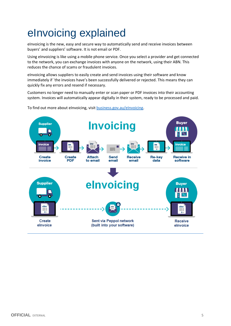# <span id="page-4-0"></span>eInvoicing explained

eInvoicing is the new, easy and secure way to automatically send and receive invoices between buyers' and suppliers' software. It is not email or PDF.

Using eInvoicing is like using a mobile phone service. Once you select a provider and get connected to the network, you can exchange invoices with anyone on the network, using their ABN. This reduces the chance of scams or fraudulent invoices.

eInvoicing allows suppliers to easily create and send invoices using their software and know immediately if `the invoices have's been successfully delivered or rejected. This means they can quickly fix any errors and resend if necessary.

Customers no longer need to manually enter or scan paper or PDF invoices into their accounting system. Invoices will automatically appear digitally in their system, ready to be processed and paid.



To find out more about eInvoicing, visit [business.gov.au/eInvoicing.](https://business.gov.au/finance/payments-and-invoicing/e-invoicing)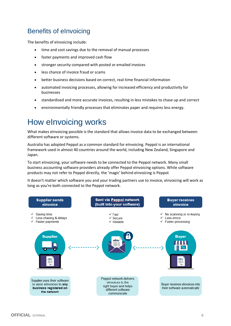## <span id="page-5-0"></span>Benefits of eInvoicing

The benefits of eInvoicing include:

- time and cost savings due to the removal of manual processes
- faster payments and improved cash flow
- stronger security compared with posted or emailed invoices
- less chance of invoice fraud or scams
- better business decisions based on correct, real-time financial information
- automated invoicing processes, allowing for increased efficiency and productivity for businesses
- standardised and more accurate invoices, resulting in less mistakes to chase up and correct
- environmentally friendly processes that eliminates paper and requires less energy.

## <span id="page-5-1"></span>How eInvoicing works

What makes eInvoicing possible is the standard that allows invoice data to be exchanged between different software or systems.

Australia has adopted Peppol as a common standard for eInvoicing. Peppol is an international framework used in almost 40 countries around the world, including New Zealand, Singapore and Japan.

To start eInvoicing, your software needs to be connected to the Peppol network. Many small business accounting software providers already offer Peppol eInvoicing options. While software products may not refer to Peppol directly, the 'magic' behind eInvoicing is Peppol.

It doesn't matter which software you and your trading partners use to invoice, eInvoicing will work as long as you're both connected to the Peppol network.

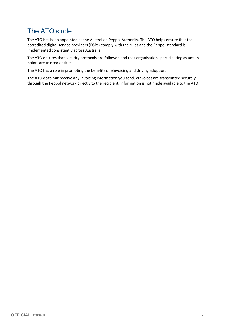## <span id="page-6-0"></span>The ATO's role

The ATO has been appointed as the Australian Peppol Authority. The ATO helps ensure that the accredited digital service providers (DSPs) comply with the rules and the Peppol standard is implemented consistently across Australia.

The ATO ensures that security protocols are followed and that organisations participating as access points are trusted entities.

The ATO has a role in promoting the benefits of eInvoicing and driving adoption.

The ATO **does not** receive any invoicing information you send. eInvoices are transmitted securely through the Peppol network directly to the recipient. Information is not made available to the ATO.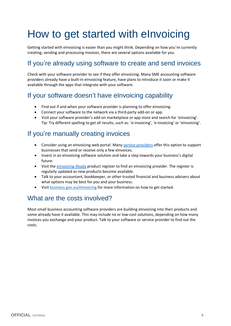# <span id="page-7-0"></span>How to get started with eInvoicing

Getting started with eInvoicing is easier than you might think. Depending on how you're currently creating, sending and processing invoices, there are several options available for you.

## <span id="page-7-1"></span>If you're already using software to create and send invoices

Check with your software provider to see if they offer eInvoicing. Many SME accounting software providers already have a built-in eInvoicing feature, have plans to introduce it soon or make it available through the apps that integrate with your software.

### <span id="page-7-2"></span>If your software doesn't have eInvoicing capability

- Find out if and when your software provider is planning to offer eInvoicing.
- Connect your software to the network via a third-party add-on or app.
- Visit your software provider's add-on marketplace or app store and search for 'eInvoicing'. Tip: Try different spelling to get all results, such as: 'e-invoicing', 'e-Invoicing' or 'eInvoicing'.

## <span id="page-7-3"></span>If you're manually creating invoices

- Consider using an eInvoicing web portal. Many [service providers](https://www.ato.gov.au/Business/E-invoicing/Finding-an-e-invoicing-accredited-service-provider/) offer this option to support businesses that send or receive only a few eInvoices.
- Invest in an eInvoicing software solution and take a step towards your business's digital future.
- Visit the elnvoicing-Ready product register to find an elnvoicing provider. The register is regularly updated as new products become available.
- Talk to your accountant, bookkeeper, or other trusted financial and business advisers about what options may be best for you and your business.
- Visit [business.gov.au/eInvoicing](https://business.gov.au/finance/payments-and-invoicing/e-invoicing) for more information on how to get started.

### <span id="page-7-4"></span>What are the costs involved?

Most small business accounting software providers are building eInvoicing into their products and some already have it available. This may include no or low-cost solutions, depending on how many invoices you exchange and your product. Talk to your software or service provider to find out the costs.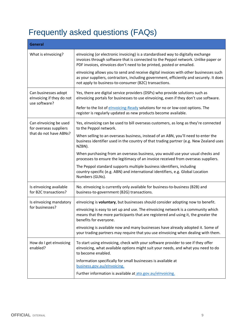## <span id="page-8-0"></span>Frequently asked questions (FAQs)

| <b>General</b>                                                             |                                                                                                                                                                                                                                                |  |
|----------------------------------------------------------------------------|------------------------------------------------------------------------------------------------------------------------------------------------------------------------------------------------------------------------------------------------|--|
| What is elnvoicing?                                                        | elnvoicing (or electronic invoicing) is a standardised way to digitally exchange<br>invoices through software that is connected to the Peppol network. Unlike paper or<br>PDF invoices, elnvoices don't need to be printed, posted or emailed. |  |
|                                                                            | elnvoicing allows you to send and receive digital invoices with other businesses such<br>as your suppliers, contractors, including government, efficiently and securely. It does<br>not apply to business-to-consumer (B2C) transactions.      |  |
| Can businesses adopt<br>elnvoicing if they do not<br>use software?         | Yes, there are digital service providers (DSPs) who provide solutions such as<br>elnvoicing portals for businesses to use elnvoicing, even if they don't use software.                                                                         |  |
|                                                                            | Refer to the list of elnvoicing-Ready solutions for no or low-cost options. The<br>register is regularly updated as new products become available.                                                                                             |  |
| Can elnvoicing be used<br>for overseas suppliers<br>that do not have ABNs? | Yes, elnvoicing can be used to bill overseas customers, as long as they're connected<br>to the Peppol network.                                                                                                                                 |  |
|                                                                            | When selling to an overseas business, instead of an ABN, you'll need to enter the<br>business identifier used in the country of that trading partner (e.g. New Zealand uses<br>NZBN).                                                          |  |
|                                                                            | When purchasing from an overseas business, you would use your usual checks and<br>processes to ensure the legitimacy of an invoice received from overseas suppliers.                                                                           |  |
|                                                                            | The Peppol standard supports multiple business identifiers, including<br>country-specific (e.g. ABN) and international identifiers, e.g. Global Location<br>Numbers (GLNs).                                                                    |  |
| Is elnvoicing available<br>for B2C transactions?                           | No. eInvoicing is currently only available for business-to-business (B2B) and<br>business-to-government (B2G) transactions.                                                                                                                    |  |
| Is elnvoicing mandatory<br>for businesses?                                 | elnvoicing is voluntary, but businesses should consider adopting now to benefit.                                                                                                                                                               |  |
|                                                                            | elnvoicing is easy to set up and use. The elnvoicing network is a community which<br>means that the more participants that are registered and using it, the greater the<br>benefits for everyone.                                              |  |
|                                                                            | elnvoicing is available now and many businesses have already adopted it. Some of<br>your trading partners may require that you use elnvoicing when dealing with them.                                                                          |  |
| How do I get elnvoicing<br>enabled?                                        | To start using elnvoicing, check with your software provider to see if they offer<br>elnvoicing, what available options might suit your needs, and what you need to do<br>to become enabled.                                                   |  |
|                                                                            | Information specifically for small businesses is available at<br>business.gov.au/elnvoicing.                                                                                                                                                   |  |
|                                                                            | Further information is available at ato.gov.au/elnvoicing.                                                                                                                                                                                     |  |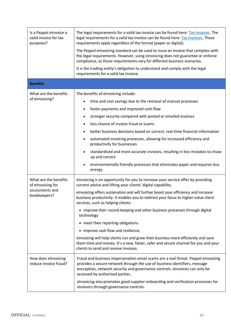| Is a Peppol eInvoice a<br>valid invoice for tax<br>purposes?                  | The legal requirements for a valid tax invoice can be found here: Tax invoices. The<br>legal requirements for a valid tax invoice can be found here: Tax invoices. These<br>requirements apply regardless of the format (paper or digital).                                                                                                                                                                                                                                                                                                                                                                                                                                                                                                                      |
|-------------------------------------------------------------------------------|------------------------------------------------------------------------------------------------------------------------------------------------------------------------------------------------------------------------------------------------------------------------------------------------------------------------------------------------------------------------------------------------------------------------------------------------------------------------------------------------------------------------------------------------------------------------------------------------------------------------------------------------------------------------------------------------------------------------------------------------------------------|
|                                                                               | The Peppol elnvoicing standard can be used to issue an invoice that complies with<br>the legal requirements. However, using elnvoicing does not guarantee or enforce<br>compliance, as those requirements vary for different business scenarios.                                                                                                                                                                                                                                                                                                                                                                                                                                                                                                                 |
|                                                                               | It is the trading entity's obligation to understand and comply with the legal<br>requirements for a valid tax invoice.                                                                                                                                                                                                                                                                                                                                                                                                                                                                                                                                                                                                                                           |
| <b>Benefits</b>                                                               |                                                                                                                                                                                                                                                                                                                                                                                                                                                                                                                                                                                                                                                                                                                                                                  |
| What are the benefits<br>of elnvoicing?                                       | The benefits of eInvoicing include:<br>time and cost savings due to the removal of manual processes<br>$\bullet$<br>faster payments and improved cash flow<br>$\bullet$<br>stronger security compared with posted or emailed invoices<br>٠<br>less chance of invoice fraud or scams<br>$\bullet$<br>better business decisions based on correct, real-time financial information<br>$\bullet$<br>automated invoicing processes, allowing for increased efficiency and<br>$\bullet$<br>productivity for businesses<br>standardised and more accurate invoices, resulting in less mistakes to chase<br>$\bullet$<br>up and correct<br>environmentally friendly processes that eliminates paper and requires less<br>energy.                                         |
| What are the benefits<br>of elnvoicing for<br>accountants and<br>bookkeepers? | elnvoicing is an opportunity for you to increase your service offer by providing<br>current advice and lifting your clients' digital capability.<br>elnvoicing offers automation and will further boost your efficiency and increase<br>business productivity. It enables you to redirect your focus to higher-value client<br>services, such as helping clients:<br>• improve their record-keeping and other business processes through digital<br>technology<br>• meet their reporting obligations<br>• improve cash flow and resilience.<br>elnvoicing will help clients run and grow their business more efficiently and save<br>them time and money. It's a new, faster, safer and secure channel for you and your<br>clients to send and receive invoices. |
| How does elnvoicing<br>reduce invoice fraud?                                  | Fraud and business impersonation email scams are a real threat. Peppol elnvoicing<br>provides a secure network through the use of business identifiers, message<br>encryption, network security and governance controls. elnvoices can only be<br>accessed by authorised parties.<br>elnvoicing also promotes good supplier onboarding and verification processes for<br>receivers through governance controls.                                                                                                                                                                                                                                                                                                                                                  |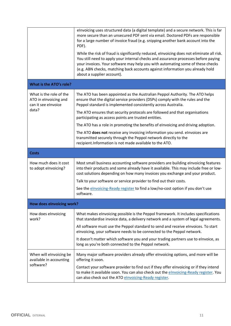|                                                                                  | elnvoicing uses structured data (a digital template) and a secure network. This is far<br>more secure than an unsecured PDF sent via email. Doctored PDFs are responsible<br>for a large number of invoice fraud (e.g. snipping another bank account into the<br>PDF).<br>While the risk of fraud is significantly reduced, elnvoicing does not eliminate all risk.<br>You still need to apply your internal checks and assurance processes before paying |  |
|----------------------------------------------------------------------------------|-----------------------------------------------------------------------------------------------------------------------------------------------------------------------------------------------------------------------------------------------------------------------------------------------------------------------------------------------------------------------------------------------------------------------------------------------------------|--|
|                                                                                  | your invoices. Your software may help you with automating some of these checks<br>(e.g. ABN checks, matching back accounts against information you already hold<br>about a supplier account).                                                                                                                                                                                                                                                             |  |
| What is the ATO's role?                                                          |                                                                                                                                                                                                                                                                                                                                                                                                                                                           |  |
| What is the role of the<br>ATO in elnvoicing and<br>can it see elnvoice<br>data? | The ATO has been appointed as the Australian Peppol Authority. The ATO helps<br>ensure that the digital service providers (DSPs) comply with the rules and the<br>Peppol standard is implemented consistently across Australia.                                                                                                                                                                                                                           |  |
|                                                                                  | The ATO ensures that security protocols are followed and that organisations<br>participating as access points are trusted entities.                                                                                                                                                                                                                                                                                                                       |  |
|                                                                                  | The ATO has a role in promoting the benefits of elnvoicing and driving adoption.                                                                                                                                                                                                                                                                                                                                                                          |  |
|                                                                                  | The ATO does not receive any invoicing information you send. elnvoices are<br>transmitted securely through the Peppol network directly to the<br>recipient. Information is not made available to the ATO.                                                                                                                                                                                                                                                 |  |
| <b>Costs</b>                                                                     |                                                                                                                                                                                                                                                                                                                                                                                                                                                           |  |
| How much does it cost<br>to adopt elnvoicing?                                    | Most small business accounting software providers are building elnvoicing features<br>into their products and some already have it available. This may include free or low-<br>cost solutions depending on how many invoices you exchange and your product.                                                                                                                                                                                               |  |
|                                                                                  | Talk to your software or service provider to find out their costs.                                                                                                                                                                                                                                                                                                                                                                                        |  |
|                                                                                  | See the elnvoicing-Ready register to find a low/no-cost option if you don't use<br>software.                                                                                                                                                                                                                                                                                                                                                              |  |
| How does elnvoicing work?                                                        |                                                                                                                                                                                                                                                                                                                                                                                                                                                           |  |
| How does elnvoicing<br>work?                                                     | What makes elnvoicing possible is the Peppol framework. It includes specifications<br>that standardise invoice data, a delivery network and a system of legal agreements.                                                                                                                                                                                                                                                                                 |  |
|                                                                                  | All software must use the Peppol standard to send and receive elnvoices. To start<br>elnvoicing, your software needs to be connected to the Peppol network.                                                                                                                                                                                                                                                                                               |  |
|                                                                                  | It doesn't matter which software you and your trading partners use to elnvoice, as<br>long as you're both connected to the Peppol network.                                                                                                                                                                                                                                                                                                                |  |
| When will elnvoicing be<br>available in accounting<br>software?                  | Many major software providers already offer elnvoicing options, and more will be<br>offering it soon.                                                                                                                                                                                                                                                                                                                                                     |  |
|                                                                                  | Contact your software provider to find out if they offer elnvoicing or if they intend<br>to make it available soon. You can also check out the elnvoicing-Ready register. You<br>can also check out the ATO elnvoicing-Ready register.                                                                                                                                                                                                                    |  |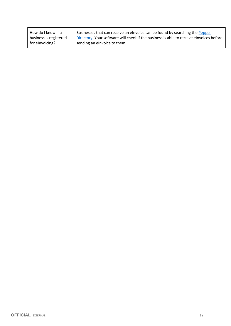| How do I know if a                        | Businesses that can receive an elnvoice can be found by searching the Peppol                                            |
|-------------------------------------------|-------------------------------------------------------------------------------------------------------------------------|
| business is registered<br>for elnvoicing? | Directory. Your software will check if the business is able to receive elnyoices before<br>sending an elnvoice to them. |
|                                           |                                                                                                                         |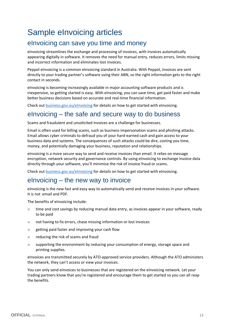## <span id="page-12-0"></span>Sample eInvoicing articles

## <span id="page-12-1"></span>eInvoicing can save you time and money

eInvoicing streamlines the exchange and processing of invoices, with invoices automatically appearing digitally in software. It removes the need for manual entry, reduces errors, limits missing and incorrect information and eliminates lost invoices.

Peppol eInvoicing is a common eInvoicing standard in Australia. With Peppol, invoices are sent directly to your trading partner's software using their ABN, so the right information gets to the right contact in seconds.

eInvoicing is becoming increasingly available in major accounting software products and is inexpensive, so getting started is easy. With eInvoicing, you can save time, get paid faster and make better business decisions based on accurate and real-time financial information.

Check out [business.gov.au/eInvoicing](https://business.gov.au/finance/payments-and-invoicing/e-invoicing) for details on how to get started with eInvoicing.

### <span id="page-12-2"></span>elnvoicing – the safe and secure way to do business

Scams and fraudulent and unsolicited invoices are a challenge for businesses.

Email is often used for billing scams, such as business impersonation scams and phishing attacks. Email allows cyber criminals to defraud you of your hard-earned cash and gain access to your business data and systems. The consequences of such attacks could be dire, costing you time, money, and potentially damaging your business, reputation and relationships.

eInvoicing is a more secure way to send and receive invoices than email. It relies on message encryption, network security and governance controls. By using eInvoicing to exchange invoice data directly through your software, you'll minimise the risk of invoice fraud or scams.

Check out [business.gov.au/eInvoicing](https://business.gov.au/finance/payments-and-invoicing/e-invoicing) for details on how to get started with eInvoicing.

### <span id="page-12-3"></span>eInvoicing – the new way to invoice

eInvoicing is the new fast and easy way to automatically send and receive invoices in your software. It is not email and PDF.

The benefits of eInvoicing include:

- time and cost savings by reducing manual data entry, as invoices appear in your software, ready to be paid
- not having to fix errors, chase missing information or lost invoices
- getting paid faster and improving your cash flow
- reducing the risk of scams and fraud
- supporting the environment by reducing your consumption of energy, storage space and printing supplies.

eInvoices are transmitted securely by ATO-approved service providers. Although the ATO administers the network, they can't access or view your invoices.

You can only send eInvoices to businesses that are registered on the eInvoicing network. Let your trading partners know that you're registered and encourage them to get started so you can all reap the benefits.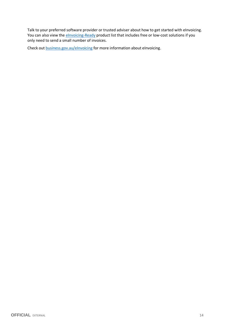Talk to your preferred software provider or trusted adviser about how to get started with eInvoicing. You can also view the **[eInvoicing-Ready](https://softwaredevelopers.ato.gov.au/eInvhttps:/softwaredevelopers.ato.gov.au/eInvoicing-Ready-product-registeroicing-Ready-product-register)** product list that includes free or low-cost solutions if you only need to send a small number of invoices.

Check out **business.gov.au/eInvoicing** for more information about eInvoicing.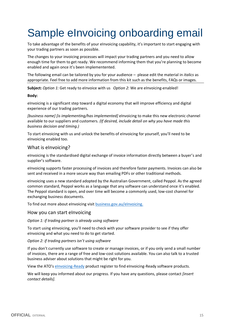# <span id="page-14-0"></span>Sample eInvoicing onboarding email

To take advantage of the benefits of your eInvoicing capability, it's important to start engaging with your trading partners as soon as possible.

The changes to your invoicing processes will impact your trading partners and you need to allow enough time for them to get ready. We recommend informing them that you're planning to become enabled and again once it's been implementented.

The following email can be tailored by you for your audience – please edit the material in *italics* as appropriate. Feel free to add more information from this kit such as the benefits, FAQs or images.

**Subject:** *Option 1:* Get ready to eInvoice with us *Option 2:* We are eInvoicing-enabled!

#### **Body:**

eInvoicing is a significant step toward a digital economy that will improve efficiency and digital experience of our trading partners.

*[business name] [is implementing/has implemented]* eInvoicing to make this new electronic channel available to our suppliers and customers. *(If desired, include detail on why you have made this business decision and timing.)*

To start eInvoicing with us and unlock the benefits of eInvoicing for yourself, you'll need to be eInvoicing enabled too.

#### What is eInvoicing?

eInvoicing is the standardised digital exchange of invoice information directly between a buyer's and supplier's software.

eInvoicing supports faster processing of invoices and therefore faster payments. Invoices can also be sent and received in a more secure way than emailing PDFs or other traditional methods.

eInvoicing uses a new standard adopted by the Australian Government, called Peppol. As the agreed common standard, Peppol works as a language that any software can understand once it's enabled. The Peppol standard is open, and over time will become a commonly used, low-cost channel for exchanging business documents.

To find out more about eInvoicing visit business.gov.au/eInvoicing.

#### How you can start eInvoicing

*Option 1: if trading partner is already using software*

To start using eInvoicing, you'll need to check with your software provider to see if they offer eInvoicing and what you need to do to get started.

#### *Option 2: if trading partners isn't using software*

If you don't currently use software to create or manage invoices, or if you only send a small number of invoices, there are a range of free and low-cost solutions available. You can also talk to a trusted business adviser about solutions that might be right for you.

View the ATO's [eInvoicing-Ready](https://softwaredevelopers.ato.gov.au/eInvoicing-Ready-product-register) product register to find eInvoicing-Ready software products.

We will keep you informed about our progress. If you have any questions, please contact *[insert contact details].*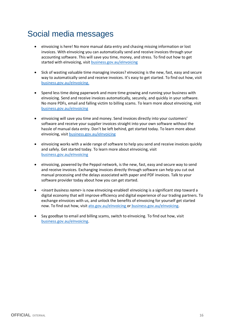## <span id="page-15-0"></span>Social media messages

- eInvoicing is here! No more manual data entry and chasing missing information or lost invoices. With eInvoicing you can automatically send and receive invoices through your accounting software. This will save you time, money, and stress. To find out how to get started with eInvoicing, visit [business.gov.au/eInvoicing](https://business.gov.au/finance/payments-and-invoicing/e-invoicing)
- Sick of wasting valuable time managing invoices? eInvoicing is the new, fast, easy and secure way to automatically send and receive invoices. It's easy to get started. To find out how, visit [business.gov.au/eInvoicing.](https://business.gov.au/finance/payments-and-invoicing/e-invoicing)
- Spend less time doing paperwork and more time growing and running your business with eInvoicing. Send and receive invoices automatically, securely, and quickly in your software. No more PDFs, email and falling victim to billing scams. To learn more about eInvoicing, visit [business.gov.au/eInvoicing](https://business.gov.au/finance/payments-and-invoicing/e-invoicing)
- eInvoicing will save you time and money. Send invoices directly into your customers' software and receive your supplier invoices straight into your own software without the hassle of manual data entry. Don't be left behind, get started today. To learn more about eInvoicing, visit [business.gov.au/eInvoicing](https://business.gov.au/finance/payments-and-invoicing/e-invoicing)
- eInvoicing works with a wide range of software to help you send and receive invoices quickly and safely. Get started today. To learn more about eInvoicing, visit [business.gov.au/eInvoicing](https://business.gov.au/finance/payments-and-invoicing/e-invoicing)
- eInvoicing, powered by the Peppol network, is the new, fast, easy and secure way to send and receive invoices. Exchanging invoices directly through software can help you cut out manual processing and the delays associated with paper and PDF invoices. Talk to your software provider today about how you can get started.
- <*insert business name*> is now eInvoicing-enabled! eInvoicing is a significant step toward a digital economy that will improve efficiency and digital experience of our trading partners. To exchange eInvoices with us, and unlock the benefits of eInvoicing for yourself get started now. To find out how, visit [ato.gov.au/eInvoicing](https://www.ato.gov.au/Business/E-invoicing/Benefits-of-e-invoicing/) or business.gov.au/eInvoicing.
- Say goodbye to email and billing scams, switch to eInvoicing. To find out how, visit business.gov.au/eInvoicing.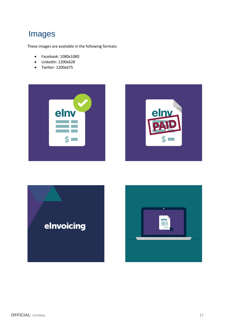## <span id="page-16-0"></span>Images

These images are available in the following formats:

- Facebook: 1080x1080
- LinkedIn: 1200x628
- Twitter: 1200x675